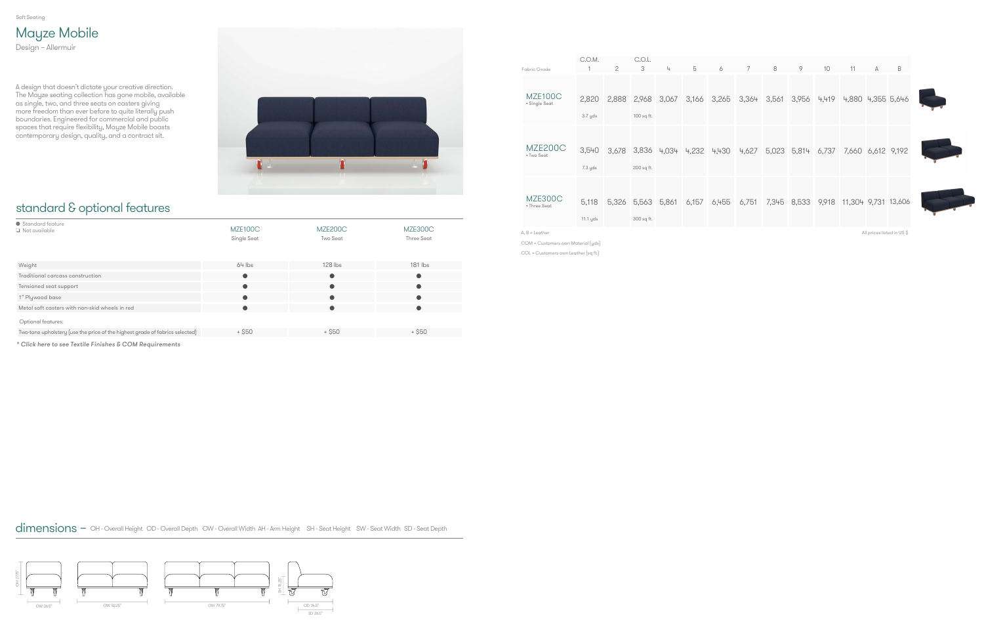## standard & optional features

| • Standard feature<br>Not available                                          | MZE <sub>100</sub> C<br>Single Seat | MZE200C<br>Two Seat | MZE300C<br>Three Seat |
|------------------------------------------------------------------------------|-------------------------------------|---------------------|-----------------------|
| Weight                                                                       | $64$ lbs                            | $128$ lbs           | $181$ lbs             |
| Traditional carcass construction                                             | $\bullet$                           |                     | $\bullet$             |
| Tensioned seat support                                                       |                                     |                     | $\bullet$             |
| 1" Plywood base                                                              |                                     |                     |                       |
| Metal soft casters with non-skid wheels in red                               | $\bullet$                           |                     | $\bullet$             |
| Optional features:                                                           |                                     |                     |                       |
| Two-tone upholstery (use the price of the highest grade of fabrics selected) | $+$ \$50                            | $+$ \$50            | $+$ \$50              |

## Mayze Mobile Design – Allermuir

A design that doesn't dictate your creative direction. The Mayze seating collection has gone mobile, available as single, two, and three seats on casters giving more freedom than ever before to quite literally push boundaries. Engineered for commercial and public spaces that require flexibility, Mayze Mobile boasts contemporary design, quality, and a contract sit.



[\\* Click here to see Textile Finishes & COM Requirements](#page-1-0)

| Fabric Grade                          | C.O.M.            | $\overline{c}$ | C.O.L.<br>3               | 4                       | 5     | 6     | $7^{\circ}$ | 8     | 9                 | 10    | 11                  | $\mathbb{A}$              | B |
|---------------------------------------|-------------------|----------------|---------------------------|-------------------------|-------|-------|-------------|-------|-------------------|-------|---------------------|---------------------------|---|
| MZE <sub>100</sub> C<br>• Single Seat | 2,820<br>3.7 yds  | 2.888          | 2,968<br>100 sq ft.       | 3,067                   | 3,166 | 3,265 | 3,364       | 3,561 | 3,956             | 4,419 | 4,880 4,355 5,646   |                           |   |
| MZE200C<br>• Two Seat                 | 3,540<br>7.3 yds  |                | 200 sq ft.                | 3,678 3,836 4,034 4,232 |       | 4,430 | 4,627       |       | 5,023 5,814 6,737 |       | 7,660 6,612 9,192   |                           |   |
| MZE300C<br>• Three Seat               | 5,118<br>11.1 yds |                | 5,326 5,563<br>300 sq ft. | 5,861                   | 6,157 | 6,455 | 6,751       | 7,345 | 8,533             | 9,918 | 11,304 9,731 13,606 |                           |   |
| $A, B =$ Leather                      |                   |                |                           |                         |       |       |             |       |                   |       |                     | All prices listed in US\$ |   |



COM = Customers own Material (yds)

COL = Customers own Leather (sq ft.)

dimensions – OH - Overall Height OD - Overall Depth OW - Overall Width AH - Arm Height SH - Seat Height SW - Seat Width SD - Seat Depth